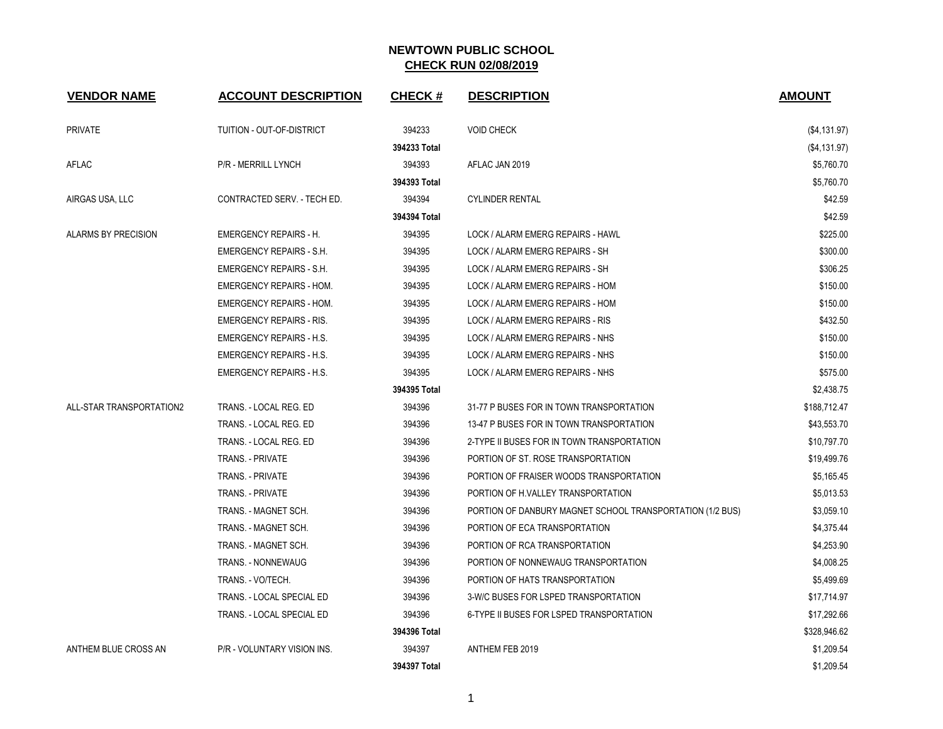| <b>VENDOR NAME</b>       | <b>ACCOUNT DESCRIPTION</b>      | <b>CHECK#</b> | <b>DESCRIPTION</b>                                        | <b>AMOUNT</b> |
|--------------------------|---------------------------------|---------------|-----------------------------------------------------------|---------------|
| <b>PRIVATE</b>           | TUITION - OUT-OF-DISTRICT       | 394233        | <b>VOID CHECK</b>                                         | (\$4,131.97)  |
|                          |                                 | 394233 Total  |                                                           | (\$4,131.97)  |
| AFLAC                    | P/R - MERRILL LYNCH             | 394393        | AFLAC JAN 2019                                            | \$5,760.70    |
|                          |                                 | 394393 Total  |                                                           | \$5,760.70    |
| AIRGAS USA, LLC          | CONTRACTED SERV. - TECH ED.     | 394394        | <b>CYLINDER RENTAL</b>                                    | \$42.59       |
|                          |                                 | 394394 Total  |                                                           | \$42.59       |
| ALARMS BY PRECISION      | <b>EMERGENCY REPAIRS - H.</b>   | 394395        | LOCK / ALARM EMERG REPAIRS - HAWL                         | \$225.00      |
|                          | <b>EMERGENCY REPAIRS - S.H.</b> | 394395        | LOCK / ALARM EMERG REPAIRS - SH                           | \$300.00      |
|                          | <b>EMERGENCY REPAIRS - S.H.</b> | 394395        | LOCK / ALARM EMERG REPAIRS - SH                           | \$306.25      |
|                          | <b>EMERGENCY REPAIRS - HOM.</b> | 394395        | LOCK / ALARM EMERG REPAIRS - HOM                          | \$150.00      |
|                          | <b>EMERGENCY REPAIRS - HOM.</b> | 394395        | LOCK / ALARM EMERG REPAIRS - HOM                          | \$150.00      |
|                          | <b>EMERGENCY REPAIRS - RIS.</b> | 394395        | LOCK / ALARM EMERG REPAIRS - RIS                          | \$432.50      |
|                          | <b>EMERGENCY REPAIRS - H.S.</b> | 394395        | LOCK / ALARM EMERG REPAIRS - NHS                          | \$150.00      |
|                          | <b>EMERGENCY REPAIRS - H.S.</b> | 394395        | LOCK / ALARM EMERG REPAIRS - NHS                          | \$150.00      |
|                          | <b>EMERGENCY REPAIRS - H.S.</b> | 394395        | LOCK / ALARM EMERG REPAIRS - NHS                          | \$575.00      |
|                          |                                 | 394395 Total  |                                                           | \$2,438.75    |
| ALL-STAR TRANSPORTATION2 | TRANS. - LOCAL REG. ED          | 394396        | 31-77 P BUSES FOR IN TOWN TRANSPORTATION                  | \$188,712.47  |
|                          | TRANS. - LOCAL REG. ED          | 394396        | 13-47 P BUSES FOR IN TOWN TRANSPORTATION                  | \$43,553.70   |
|                          | TRANS. - LOCAL REG. ED          | 394396        | 2-TYPE II BUSES FOR IN TOWN TRANSPORTATION                | \$10,797.70   |
|                          | <b>TRANS. - PRIVATE</b>         | 394396        | PORTION OF ST. ROSE TRANSPORTATION                        | \$19,499.76   |
|                          | TRANS. - PRIVATE                | 394396        | PORTION OF FRAISER WOODS TRANSPORTATION                   | \$5,165.45    |
|                          | <b>TRANS. - PRIVATE</b>         | 394396        | PORTION OF H.VALLEY TRANSPORTATION                        | \$5,013.53    |
|                          | TRANS. - MAGNET SCH.            | 394396        | PORTION OF DANBURY MAGNET SCHOOL TRANSPORTATION (1/2 BUS) | \$3,059.10    |
|                          | TRANS. - MAGNET SCH.            | 394396        | PORTION OF ECA TRANSPORTATION                             | \$4,375.44    |
|                          | TRANS. - MAGNET SCH.            | 394396        | PORTION OF RCA TRANSPORTATION                             | \$4,253.90    |
|                          | TRANS. - NONNEWAUG              | 394396        | PORTION OF NONNEWAUG TRANSPORTATION                       | \$4,008.25    |
|                          | TRANS. - VO/TECH.               | 394396        | PORTION OF HATS TRANSPORTATION                            | \$5,499.69    |
|                          | TRANS. - LOCAL SPECIAL ED       | 394396        | 3-W/C BUSES FOR LSPED TRANSPORTATION                      | \$17,714.97   |
|                          | TRANS. - LOCAL SPECIAL ED       | 394396        | 6-TYPE II BUSES FOR LSPED TRANSPORTATION                  | \$17,292.66   |
|                          |                                 | 394396 Total  |                                                           | \$328,946.62  |
| ANTHEM BLUE CROSS AN     | P/R - VOLUNTARY VISION INS.     | 394397        | ANTHEM FEB 2019                                           | \$1,209.54    |
|                          |                                 | 394397 Total  |                                                           | \$1,209.54    |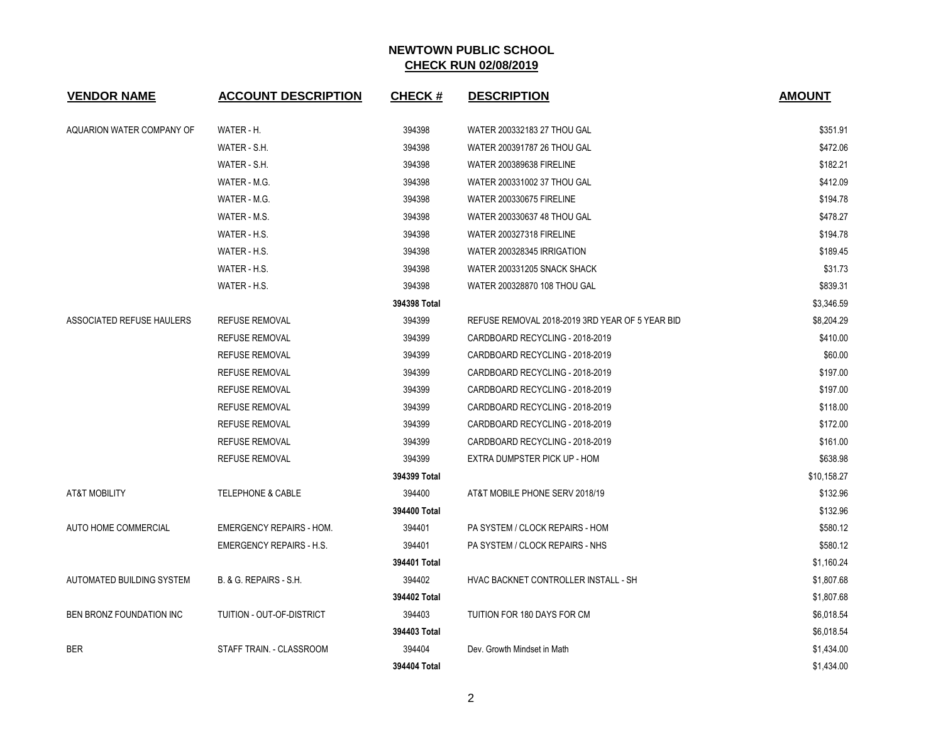| <b>VENDOR NAME</b>        | <b>ACCOUNT DESCRIPTION</b>      | <b>CHECK#</b> | <b>DESCRIPTION</b>                              | <b>AMOUNT</b> |
|---------------------------|---------------------------------|---------------|-------------------------------------------------|---------------|
| AQUARION WATER COMPANY OF | WATER - H.                      | 394398        | WATER 200332183 27 THOU GAL                     | \$351.91      |
|                           | WATER - S.H.                    | 394398        | WATER 200391787 26 THOU GAL                     | \$472.06      |
|                           | WATER - S.H.                    | 394398        | <b>WATER 200389638 FIRELINE</b>                 | \$182.21      |
|                           | WATER - M.G.                    | 394398        | WATER 200331002 37 THOU GAL                     | \$412.09      |
|                           | WATER - M.G.                    | 394398        | <b>WATER 200330675 FIRELINE</b>                 | \$194.78      |
|                           | WATER - M.S.                    | 394398        | WATER 200330637 48 THOU GAL                     | \$478.27      |
|                           | WATER - H.S.                    | 394398        | <b>WATER 200327318 FIRELINE</b>                 | \$194.78      |
|                           | WATER - H.S.                    | 394398        | WATER 200328345 IRRIGATION                      | \$189.45      |
|                           | WATER - H.S.                    | 394398        | WATER 200331205 SNACK SHACK                     | \$31.73       |
|                           | WATER - H.S.                    | 394398        | WATER 200328870 108 THOU GAL                    | \$839.31      |
|                           |                                 | 394398 Total  |                                                 | \$3,346.59    |
| ASSOCIATED REFUSE HAULERS | <b>REFUSE REMOVAL</b>           | 394399        | REFUSE REMOVAL 2018-2019 3RD YEAR OF 5 YEAR BID | \$8,204.29    |
|                           | <b>REFUSE REMOVAL</b>           | 394399        | CARDBOARD RECYCLING - 2018-2019                 | \$410.00      |
|                           | <b>REFUSE REMOVAL</b>           | 394399        | CARDBOARD RECYCLING - 2018-2019                 | \$60.00       |
|                           | <b>REFUSE REMOVAL</b>           | 394399        | CARDBOARD RECYCLING - 2018-2019                 | \$197.00      |
|                           | <b>REFUSE REMOVAL</b>           | 394399        | CARDBOARD RECYCLING - 2018-2019                 | \$197.00      |
|                           | <b>REFUSE REMOVAL</b>           | 394399        | CARDBOARD RECYCLING - 2018-2019                 | \$118.00      |
|                           | <b>REFUSE REMOVAL</b>           | 394399        | CARDBOARD RECYCLING - 2018-2019                 | \$172.00      |
|                           | <b>REFUSE REMOVAL</b>           | 394399        | CARDBOARD RECYCLING - 2018-2019                 | \$161.00      |
|                           | <b>REFUSE REMOVAL</b>           | 394399        | EXTRA DUMPSTER PICK UP - HOM                    | \$638.98      |
|                           |                                 | 394399 Total  |                                                 | \$10,158.27   |
| <b>AT&amp;T MOBILITY</b>  | <b>TELEPHONE &amp; CABLE</b>    | 394400        | AT&T MOBILE PHONE SERV 2018/19                  | \$132.96      |
|                           |                                 | 394400 Total  |                                                 | \$132.96      |
| AUTO HOME COMMERCIAL      | <b>EMERGENCY REPAIRS - HOM.</b> | 394401        | PA SYSTEM / CLOCK REPAIRS - HOM                 | \$580.12      |
|                           | <b>EMERGENCY REPAIRS - H.S.</b> | 394401        | PA SYSTEM / CLOCK REPAIRS - NHS                 | \$580.12      |
|                           |                                 | 394401 Total  |                                                 | \$1,160.24    |
| AUTOMATED BUILDING SYSTEM | B. & G. REPAIRS - S.H.          | 394402        | HVAC BACKNET CONTROLLER INSTALL - SH            | \$1,807.68    |
|                           |                                 | 394402 Total  |                                                 | \$1,807.68    |
| BEN BRONZ FOUNDATION INC  | TUITION - OUT-OF-DISTRICT       | 394403        | TUITION FOR 180 DAYS FOR CM                     | \$6,018.54    |
|                           |                                 | 394403 Total  |                                                 | \$6,018.54    |
| <b>BER</b>                | STAFF TRAIN. - CLASSROOM        | 394404        | Dev. Growth Mindset in Math                     | \$1,434.00    |
|                           |                                 | 394404 Total  |                                                 | \$1,434.00    |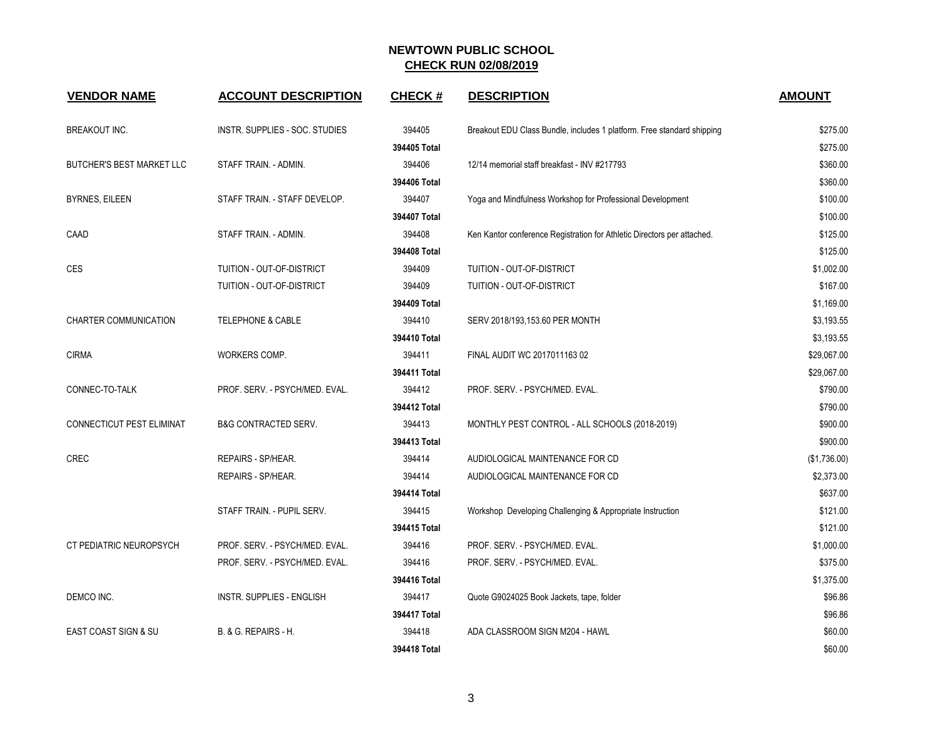| <b>VENDOR NAME</b>               | <b>ACCOUNT DESCRIPTION</b>       | <b>CHECK#</b> | <b>DESCRIPTION</b>                                                      | <b>AMOUNT</b> |
|----------------------------------|----------------------------------|---------------|-------------------------------------------------------------------------|---------------|
| <b>BREAKOUT INC.</b>             | INSTR. SUPPLIES - SOC. STUDIES   | 394405        | Breakout EDU Class Bundle, includes 1 platform. Free standard shipping  | \$275.00      |
|                                  |                                  | 394405 Total  |                                                                         | \$275.00      |
| <b>BUTCHER'S BEST MARKET LLC</b> | STAFF TRAIN. - ADMIN.            | 394406        | 12/14 memorial staff breakfast - INV #217793                            | \$360.00      |
|                                  |                                  | 394406 Total  |                                                                         | \$360.00      |
| <b>BYRNES, EILEEN</b>            | STAFF TRAIN. - STAFF DEVELOP.    | 394407        | Yoga and Mindfulness Workshop for Professional Development              | \$100.00      |
|                                  |                                  | 394407 Total  |                                                                         | \$100.00      |
| CAAD                             | STAFF TRAIN. - ADMIN.            | 394408        | Ken Kantor conference Registration for Athletic Directors per attached. | \$125.00      |
|                                  |                                  | 394408 Total  |                                                                         | \$125.00      |
| <b>CES</b>                       | TUITION - OUT-OF-DISTRICT        | 394409        | TUITION - OUT-OF-DISTRICT                                               | \$1,002.00    |
|                                  | TUITION - OUT-OF-DISTRICT        | 394409        | TUITION - OUT-OF-DISTRICT                                               | \$167.00      |
|                                  |                                  | 394409 Total  |                                                                         | \$1,169.00    |
| CHARTER COMMUNICATION            | <b>TELEPHONE &amp; CABLE</b>     | 394410        | SERV 2018/193,153.60 PER MONTH                                          | \$3,193.55    |
|                                  |                                  | 394410 Total  |                                                                         | \$3,193.55    |
| <b>CIRMA</b>                     | WORKERS COMP.                    | 394411        | FINAL AUDIT WC 2017011163 02                                            | \$29,067.00   |
|                                  |                                  | 394411 Total  |                                                                         | \$29,067.00   |
| CONNEC-TO-TALK                   | PROF. SERV. - PSYCH/MED. EVAL.   | 394412        | PROF. SERV. - PSYCH/MED. EVAL.                                          | \$790.00      |
|                                  |                                  | 394412 Total  |                                                                         | \$790.00      |
| CONNECTICUT PEST ELIMINAT        | <b>B&amp;G CONTRACTED SERV.</b>  | 394413        | MONTHLY PEST CONTROL - ALL SCHOOLS (2018-2019)                          | \$900.00      |
|                                  |                                  | 394413 Total  |                                                                         | \$900.00      |
| <b>CREC</b>                      | REPAIRS - SP/HEAR.               | 394414        | AUDIOLOGICAL MAINTENANCE FOR CD                                         | (\$1,736.00)  |
|                                  | REPAIRS - SP/HEAR.               | 394414        | AUDIOLOGICAL MAINTENANCE FOR CD                                         | \$2,373.00    |
|                                  |                                  | 394414 Total  |                                                                         | \$637.00      |
|                                  | STAFF TRAIN. - PUPIL SERV.       | 394415        | Workshop Developing Challenging & Appropriate Instruction               | \$121.00      |
|                                  |                                  | 394415 Total  |                                                                         | \$121.00      |
| CT PEDIATRIC NEUROPSYCH          | PROF. SERV. - PSYCH/MED. EVAL.   | 394416        | PROF. SERV. - PSYCH/MED. EVAL.                                          | \$1,000.00    |
|                                  | PROF. SERV. - PSYCH/MED. EVAL.   | 394416        | PROF. SERV. - PSYCH/MED. EVAL.                                          | \$375.00      |
|                                  |                                  | 394416 Total  |                                                                         | \$1,375.00    |
| DEMCO INC.                       | <b>INSTR. SUPPLIES - ENGLISH</b> | 394417        | Quote G9024025 Book Jackets, tape, folder                               | \$96.86       |
|                                  |                                  | 394417 Total  |                                                                         | \$96.86       |
| <b>EAST COAST SIGN &amp; SU</b>  | B. & G. REPAIRS - H.             | 394418        | ADA CLASSROOM SIGN M204 - HAWL                                          | \$60.00       |
|                                  |                                  | 394418 Total  |                                                                         | \$60.00       |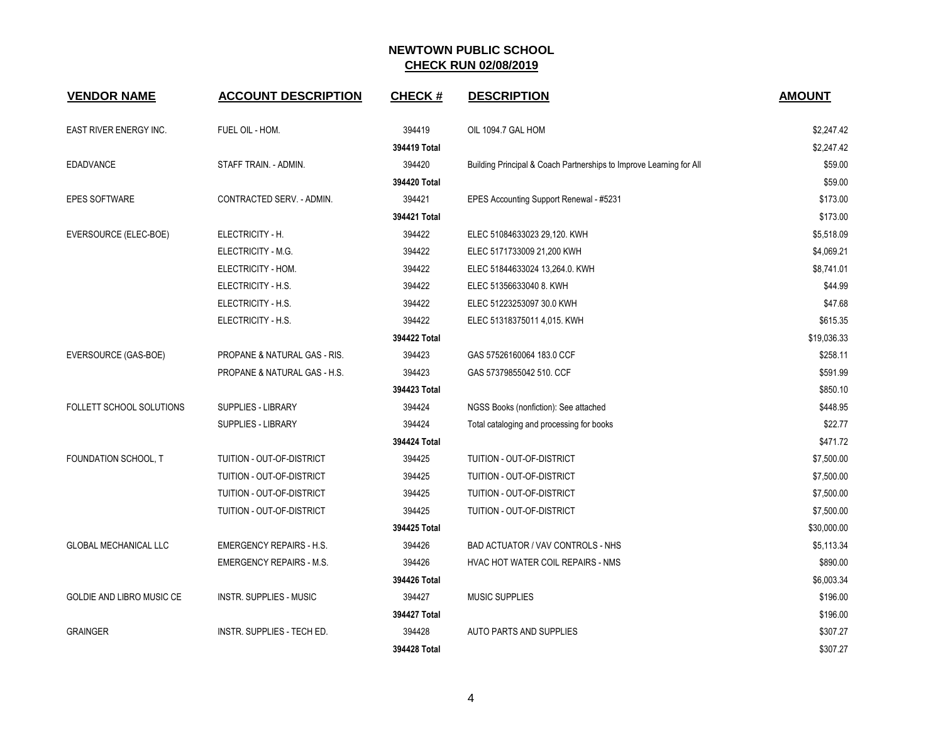| <b>VENDOR NAME</b>           | <b>ACCOUNT DESCRIPTION</b>      | <b>CHECK#</b> | <b>DESCRIPTION</b>                                                  | <b>AMOUNT</b> |
|------------------------------|---------------------------------|---------------|---------------------------------------------------------------------|---------------|
| EAST RIVER ENERGY INC.       | FUEL OIL - HOM.                 | 394419        | OIL 1094.7 GAL HOM                                                  | \$2,247.42    |
|                              |                                 | 394419 Total  |                                                                     | \$2,247.42    |
| <b>EDADVANCE</b>             | STAFF TRAIN. - ADMIN.           | 394420        | Building Principal & Coach Partnerships to Improve Learning for All | \$59.00       |
|                              |                                 | 394420 Total  |                                                                     | \$59.00       |
| <b>EPES SOFTWARE</b>         | CONTRACTED SERV. - ADMIN.       | 394421        | EPES Accounting Support Renewal - #5231                             | \$173.00      |
|                              |                                 | 394421 Total  |                                                                     | \$173.00      |
| EVERSOURCE (ELEC-BOE)        | ELECTRICITY - H.                | 394422        | ELEC 51084633023 29,120. KWH                                        | \$5,518.09    |
|                              | ELECTRICITY - M.G.              | 394422        | ELEC 5171733009 21,200 KWH                                          | \$4,069.21    |
|                              | ELECTRICITY - HOM.              | 394422        | ELEC 51844633024 13,264.0. KWH                                      | \$8,741.01    |
|                              | ELECTRICITY - H.S.              | 394422        | ELEC 51356633040 8. KWH                                             | \$44.99       |
|                              | ELECTRICITY - H.S.              | 394422        | ELEC 51223253097 30.0 KWH                                           | \$47.68       |
|                              | ELECTRICITY - H.S.              | 394422        | ELEC 51318375011 4,015. KWH                                         | \$615.35      |
|                              |                                 | 394422 Total  |                                                                     | \$19,036.33   |
| EVERSOURCE (GAS-BOE)         | PROPANE & NATURAL GAS - RIS.    | 394423        | GAS 57526160064 183.0 CCF                                           | \$258.11      |
|                              | PROPANE & NATURAL GAS - H.S.    | 394423        | GAS 57379855042 510. CCF                                            | \$591.99      |
|                              |                                 | 394423 Total  |                                                                     | \$850.10      |
| FOLLETT SCHOOL SOLUTIONS     | SUPPLIES - LIBRARY              | 394424        | NGSS Books (nonfiction): See attached                               | \$448.95      |
|                              | <b>SUPPLIES - LIBRARY</b>       | 394424        | Total cataloging and processing for books                           | \$22.77       |
|                              |                                 | 394424 Total  |                                                                     | \$471.72      |
| FOUNDATION SCHOOL, T         | TUITION - OUT-OF-DISTRICT       | 394425        | TUITION - OUT-OF-DISTRICT                                           | \$7,500.00    |
|                              | TUITION - OUT-OF-DISTRICT       | 394425        | TUITION - OUT-OF-DISTRICT                                           | \$7,500.00    |
|                              | TUITION - OUT-OF-DISTRICT       | 394425        | TUITION - OUT-OF-DISTRICT                                           | \$7,500.00    |
|                              | TUITION - OUT-OF-DISTRICT       | 394425        | TUITION - OUT-OF-DISTRICT                                           | \$7,500.00    |
|                              |                                 | 394425 Total  |                                                                     | \$30,000.00   |
| <b>GLOBAL MECHANICAL LLC</b> | <b>EMERGENCY REPAIRS - H.S.</b> | 394426        | BAD ACTUATOR / VAV CONTROLS - NHS                                   | \$5,113.34    |
|                              | <b>EMERGENCY REPAIRS - M.S.</b> | 394426        | HVAC HOT WATER COIL REPAIRS - NMS                                   | \$890.00      |
|                              |                                 | 394426 Total  |                                                                     | \$6,003.34    |
| GOLDIE AND LIBRO MUSIC CE    | INSTR. SUPPLIES - MUSIC         | 394427        | <b>MUSIC SUPPLIES</b>                                               | \$196.00      |
|                              |                                 | 394427 Total  |                                                                     | \$196.00      |
| <b>GRAINGER</b>              | INSTR. SUPPLIES - TECH ED.      | 394428        | AUTO PARTS AND SUPPLIES                                             | \$307.27      |
|                              |                                 | 394428 Total  |                                                                     | \$307.27      |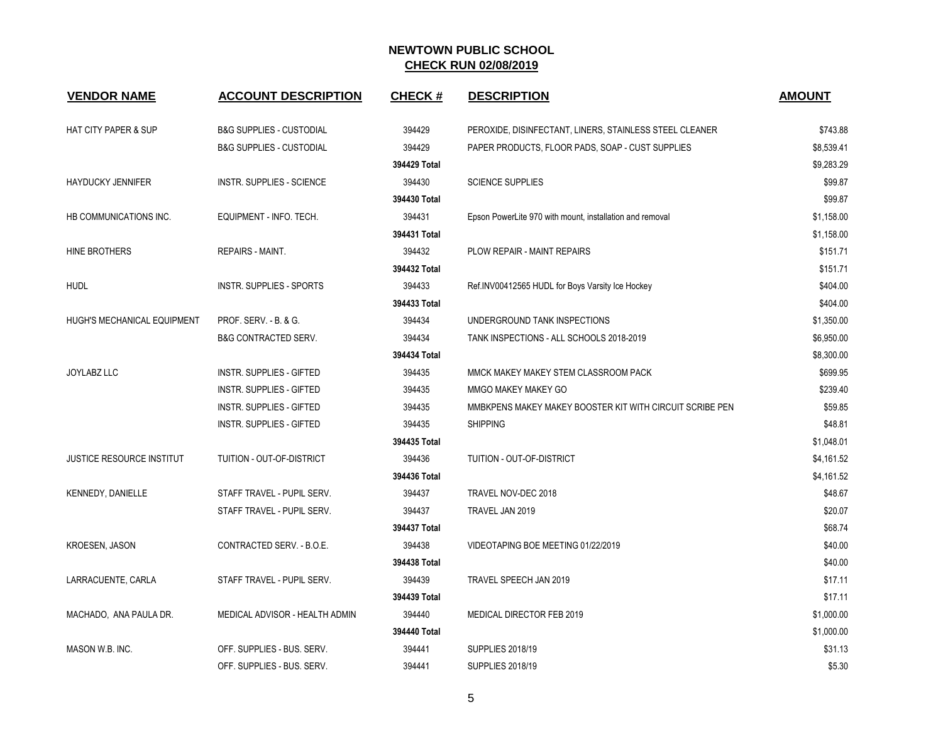| <b>VENDOR NAME</b>               | <b>ACCOUNT DESCRIPTION</b>          | <b>CHECK#</b> | <b>DESCRIPTION</b>                                       | <b>AMOUNT</b> |
|----------------------------------|-------------------------------------|---------------|----------------------------------------------------------|---------------|
| <b>HAT CITY PAPER &amp; SUP</b>  | <b>B&amp;G SUPPLIES - CUSTODIAL</b> | 394429        | PEROXIDE, DISINFECTANT, LINERS, STAINLESS STEEL CLEANER  | \$743.88      |
|                                  | <b>B&amp;G SUPPLIES - CUSTODIAL</b> | 394429        | PAPER PRODUCTS, FLOOR PADS, SOAP - CUST SUPPLIES         | \$8,539.41    |
|                                  |                                     | 394429 Total  |                                                          | \$9,283.29    |
| <b>HAYDUCKY JENNIFER</b>         | <b>INSTR. SUPPLIES - SCIENCE</b>    | 394430        | <b>SCIENCE SUPPLIES</b>                                  | \$99.87       |
|                                  |                                     | 394430 Total  |                                                          | \$99.87       |
| HB COMMUNICATIONS INC.           | EQUIPMENT - INFO. TECH.             | 394431        | Epson PowerLite 970 with mount, installation and removal | \$1,158.00    |
|                                  |                                     | 394431 Total  |                                                          | \$1,158.00    |
| HINE BROTHERS                    | REPAIRS - MAINT.                    | 394432        | PLOW REPAIR - MAINT REPAIRS                              | \$151.71      |
|                                  |                                     | 394432 Total  |                                                          | \$151.71      |
| <b>HUDL</b>                      | <b>INSTR. SUPPLIES - SPORTS</b>     | 394433        | Ref.INV00412565 HUDL for Boys Varsity Ice Hockey         | \$404.00      |
|                                  |                                     | 394433 Total  |                                                          | \$404.00      |
| HUGH'S MECHANICAL EQUIPMENT      | PROF. SERV. - B. & G.               | 394434        | UNDERGROUND TANK INSPECTIONS                             | \$1,350.00    |
|                                  | <b>B&amp;G CONTRACTED SERV.</b>     | 394434        | TANK INSPECTIONS - ALL SCHOOLS 2018-2019                 | \$6,950.00    |
|                                  |                                     | 394434 Total  |                                                          | \$8,300.00    |
| <b>JOYLABZ LLC</b>               | <b>INSTR. SUPPLIES - GIFTED</b>     | 394435        | MMCK MAKEY MAKEY STEM CLASSROOM PACK                     | \$699.95      |
|                                  | INSTR. SUPPLIES - GIFTED            | 394435        | MMGO MAKEY MAKEY GO                                      | \$239.40      |
|                                  | <b>INSTR. SUPPLIES - GIFTED</b>     | 394435        | MMBKPENS MAKEY MAKEY BOOSTER KIT WITH CIRCUIT SCRIBE PEN | \$59.85       |
|                                  | <b>INSTR. SUPPLIES - GIFTED</b>     | 394435        | <b>SHIPPING</b>                                          | \$48.81       |
|                                  |                                     | 394435 Total  |                                                          | \$1,048.01    |
| <b>JUSTICE RESOURCE INSTITUT</b> | TUITION - OUT-OF-DISTRICT           | 394436        | TUITION - OUT-OF-DISTRICT                                | \$4,161.52    |
|                                  |                                     | 394436 Total  |                                                          | \$4,161.52    |
| KENNEDY, DANIELLE                | STAFF TRAVEL - PUPIL SERV.          | 394437        | TRAVEL NOV-DEC 2018                                      | \$48.67       |
|                                  | STAFF TRAVEL - PUPIL SERV.          | 394437        | TRAVEL JAN 2019                                          | \$20.07       |
|                                  |                                     | 394437 Total  |                                                          | \$68.74       |
| KROESEN, JASON                   | CONTRACTED SERV. - B.O.E.           | 394438        | VIDEOTAPING BOE MEETING 01/22/2019                       | \$40.00       |
|                                  |                                     | 394438 Total  |                                                          | \$40.00       |
| LARRACUENTE, CARLA               | STAFF TRAVEL - PUPIL SERV.          | 394439        | TRAVEL SPEECH JAN 2019                                   | \$17.11       |
|                                  |                                     | 394439 Total  |                                                          | \$17.11       |
| MACHADO, ANA PAULA DR.           | MEDICAL ADVISOR - HEALTH ADMIN      | 394440        | MEDICAL DIRECTOR FEB 2019                                | \$1,000.00    |
|                                  |                                     | 394440 Total  |                                                          | \$1,000.00    |
| MASON W.B. INC.                  | OFF. SUPPLIES - BUS. SERV.          | 394441        | <b>SUPPLIES 2018/19</b>                                  | \$31.13       |
|                                  | OFF. SUPPLIES - BUS. SERV.          | 394441        | <b>SUPPLIES 2018/19</b>                                  | \$5.30        |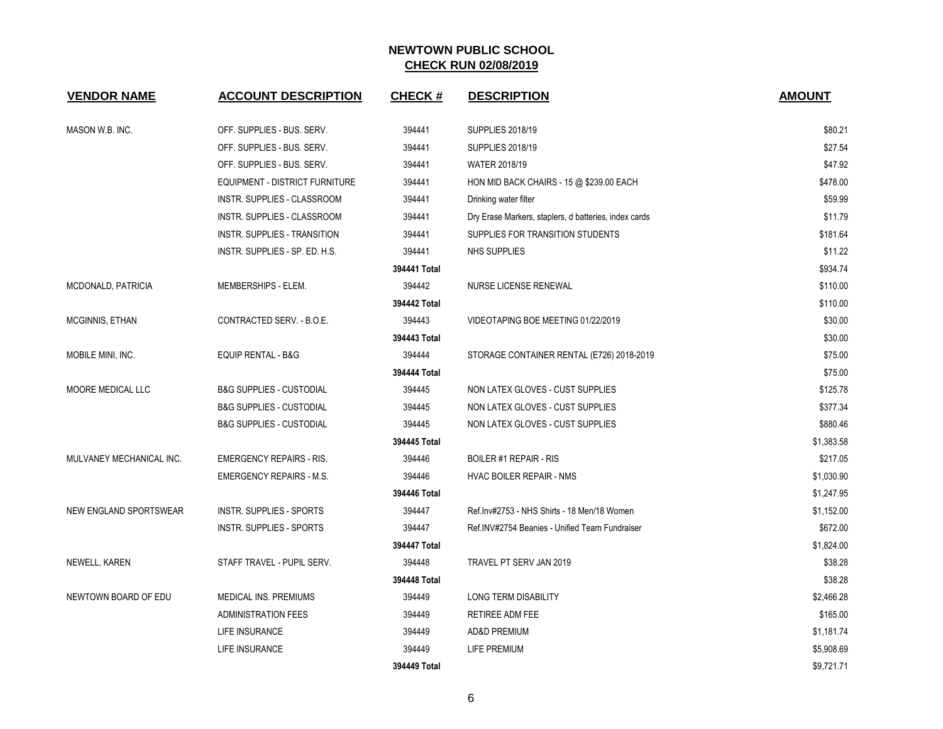| <b>VENDOR NAME</b>       | <b>ACCOUNT DESCRIPTION</b>            | <b>CHECK#</b> | <b>DESCRIPTION</b>                                    | <b>AMOUNT</b> |
|--------------------------|---------------------------------------|---------------|-------------------------------------------------------|---------------|
| MASON W.B. INC.          | OFF. SUPPLIES - BUS. SERV.            | 394441        | <b>SUPPLIES 2018/19</b>                               | \$80.21       |
|                          | OFF. SUPPLIES - BUS. SERV.            | 394441        | <b>SUPPLIES 2018/19</b>                               | \$27.54       |
|                          | OFF. SUPPLIES - BUS. SERV.            | 394441        | WATER 2018/19                                         | \$47.92       |
|                          | <b>EQUIPMENT - DISTRICT FURNITURE</b> | 394441        | HON MID BACK CHAIRS - 15 @ \$239.00 EACH              | \$478.00      |
|                          | INSTR. SUPPLIES - CLASSROOM           | 394441        | Drinking water filter                                 | \$59.99       |
|                          | <b>INSTR. SUPPLIES - CLASSROOM</b>    | 394441        | Dry Erase Markers, staplers, d batteries, index cards | \$11.79       |
|                          | INSTR. SUPPLIES - TRANSITION          | 394441        | SUPPLIES FOR TRANSITION STUDENTS                      | \$181.64      |
|                          | INSTR. SUPPLIES - SP. ED. H.S.        | 394441        | <b>NHS SUPPLIES</b>                                   | \$11.22       |
|                          |                                       | 394441 Total  |                                                       | \$934.74      |
| MCDONALD, PATRICIA       | MEMBERSHIPS - ELEM.                   | 394442        | NURSE LICENSE RENEWAL                                 | \$110.00      |
|                          |                                       | 394442 Total  |                                                       | \$110.00      |
| MCGINNIS, ETHAN          | CONTRACTED SERV. - B.O.E.             | 394443        | VIDEOTAPING BOE MEETING 01/22/2019                    | \$30.00       |
|                          |                                       | 394443 Total  |                                                       | \$30.00       |
| MOBILE MINI, INC.        | <b>EQUIP RENTAL - B&amp;G</b>         | 394444        | STORAGE CONTAINER RENTAL (E726) 2018-2019             | \$75.00       |
|                          |                                       | 394444 Total  |                                                       | \$75.00       |
| MOORE MEDICAL LLC        | <b>B&amp;G SUPPLIES - CUSTODIAL</b>   | 394445        | NON LATEX GLOVES - CUST SUPPLIES                      | \$125.78      |
|                          | <b>B&amp;G SUPPLIES - CUSTODIAL</b>   | 394445        | NON LATEX GLOVES - CUST SUPPLIES                      | \$377.34      |
|                          | <b>B&amp;G SUPPLIES - CUSTODIAL</b>   | 394445        | NON LATEX GLOVES - CUST SUPPLIES                      | \$880.46      |
|                          |                                       | 394445 Total  |                                                       | \$1,383.58    |
| MULVANEY MECHANICAL INC. | <b>EMERGENCY REPAIRS - RIS.</b>       | 394446        | <b>BOILER #1 REPAIR - RIS</b>                         | \$217.05      |
|                          | <b>EMERGENCY REPAIRS - M.S.</b>       | 394446        | <b>HVAC BOILER REPAIR - NMS</b>                       | \$1,030.90    |
|                          |                                       | 394446 Total  |                                                       | \$1,247.95    |
| NEW ENGLAND SPORTSWEAR   | <b>INSTR. SUPPLIES - SPORTS</b>       | 394447        | Ref.Inv#2753 - NHS Shirts - 18 Men/18 Women           | \$1,152.00    |
|                          | <b>INSTR. SUPPLIES - SPORTS</b>       | 394447        | Ref.INV#2754 Beanies - Unified Team Fundraiser        | \$672.00      |
|                          |                                       | 394447 Total  |                                                       | \$1,824.00    |
| NEWELL, KAREN            | STAFF TRAVEL - PUPIL SERV.            | 394448        | TRAVEL PT SERV JAN 2019                               | \$38.28       |
|                          |                                       | 394448 Total  |                                                       | \$38.28       |
| NEWTOWN BOARD OF EDU     | MEDICAL INS. PREMIUMS                 | 394449        | LONG TERM DISABILITY                                  | \$2,466.28    |
|                          | <b>ADMINISTRATION FEES</b>            | 394449        | RETIREE ADM FEE                                       | \$165.00      |
|                          | LIFE INSURANCE                        | 394449        | <b>AD&amp;D PREMIUM</b>                               | \$1,181.74    |
|                          | LIFE INSURANCE                        | 394449        | LIFE PREMIUM                                          | \$5,908.69    |
|                          |                                       | 394449 Total  |                                                       | \$9,721.71    |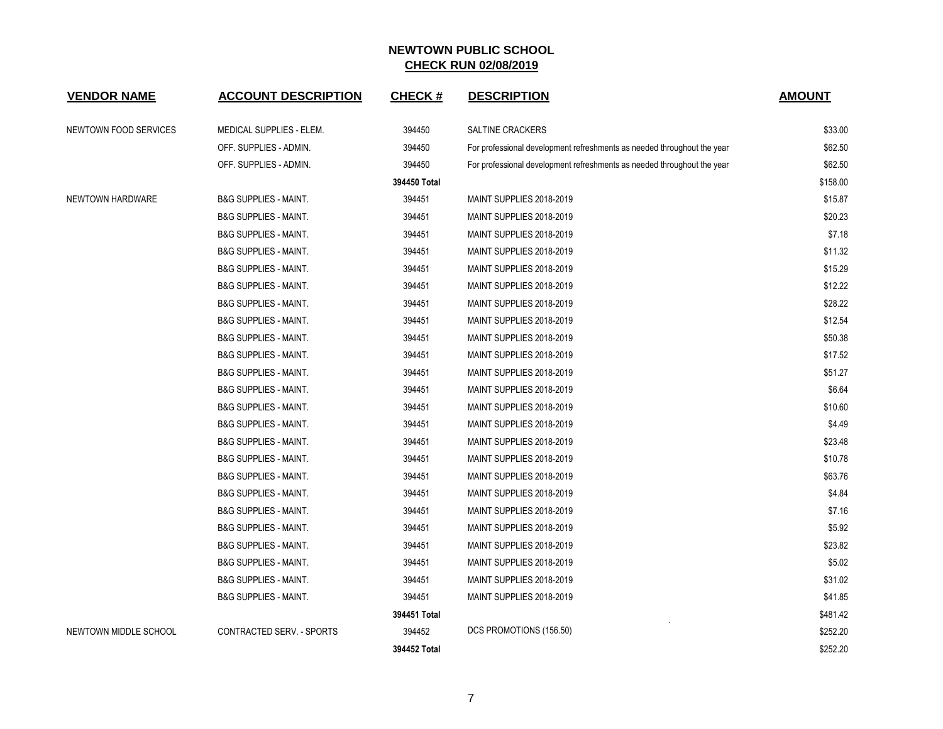| <b>VENDOR NAME</b>    | <b>ACCOUNT DESCRIPTION</b>       | <b>CHECK#</b> | <b>DESCRIPTION</b>                                                      | <b>AMOUNT</b> |
|-----------------------|----------------------------------|---------------|-------------------------------------------------------------------------|---------------|
| NEWTOWN FOOD SERVICES | MEDICAL SUPPLIES - ELEM.         | 394450        | <b>SALTINE CRACKERS</b>                                                 | \$33.00       |
|                       | OFF. SUPPLIES - ADMIN.           | 394450        | For professional development refreshments as needed throughout the year | \$62.50       |
|                       | OFF. SUPPLIES - ADMIN.           | 394450        | For professional development refreshments as needed throughout the year | \$62.50       |
|                       |                                  | 394450 Total  |                                                                         | \$158.00      |
| NEWTOWN HARDWARE      | <b>B&amp;G SUPPLIES - MAINT.</b> | 394451        | MAINT SUPPLIES 2018-2019                                                | \$15.87       |
|                       | <b>B&amp;G SUPPLIES - MAINT.</b> | 394451        | MAINT SUPPLIES 2018-2019                                                | \$20.23       |
|                       | <b>B&amp;G SUPPLIES - MAINT.</b> | 394451        | MAINT SUPPLIES 2018-2019                                                | \$7.18        |
|                       | <b>B&amp;G SUPPLIES - MAINT.</b> | 394451        | MAINT SUPPLIES 2018-2019                                                | \$11.32       |
|                       | <b>B&amp;G SUPPLIES - MAINT.</b> | 394451        | MAINT SUPPLIES 2018-2019                                                | \$15.29       |
|                       | <b>B&amp;G SUPPLIES - MAINT.</b> | 394451        | MAINT SUPPLIES 2018-2019                                                | \$12.22       |
|                       | <b>B&amp;G SUPPLIES - MAINT.</b> | 394451        | MAINT SUPPLIES 2018-2019                                                | \$28.22       |
|                       | <b>B&amp;G SUPPLIES - MAINT.</b> | 394451        | MAINT SUPPLIES 2018-2019                                                | \$12.54       |
|                       | <b>B&amp;G SUPPLIES - MAINT.</b> | 394451        | MAINT SUPPLIES 2018-2019                                                | \$50.38       |
|                       | <b>B&amp;G SUPPLIES - MAINT.</b> | 394451        | MAINT SUPPLIES 2018-2019                                                | \$17.52       |
|                       | <b>B&amp;G SUPPLIES - MAINT.</b> | 394451        | MAINT SUPPLIES 2018-2019                                                | \$51.27       |
|                       | <b>B&amp;G SUPPLIES - MAINT.</b> | 394451        | MAINT SUPPLIES 2018-2019                                                | \$6.64        |
|                       | <b>B&amp;G SUPPLIES - MAINT.</b> | 394451        | MAINT SUPPLIES 2018-2019                                                | \$10.60       |
|                       | <b>B&amp;G SUPPLIES - MAINT.</b> | 394451        | MAINT SUPPLIES 2018-2019                                                | \$4.49        |
|                       | <b>B&amp;G SUPPLIES - MAINT.</b> | 394451        | MAINT SUPPLIES 2018-2019                                                | \$23.48       |
|                       | <b>B&amp;G SUPPLIES - MAINT.</b> | 394451        | MAINT SUPPLIES 2018-2019                                                | \$10.78       |
|                       | <b>B&amp;G SUPPLIES - MAINT.</b> | 394451        | MAINT SUPPLIES 2018-2019                                                | \$63.76       |
|                       | <b>B&amp;G SUPPLIES - MAINT.</b> | 394451        | MAINT SUPPLIES 2018-2019                                                | \$4.84        |
|                       | <b>B&amp;G SUPPLIES - MAINT.</b> | 394451        | MAINT SUPPLIES 2018-2019                                                | \$7.16        |
|                       | <b>B&amp;G SUPPLIES - MAINT.</b> | 394451        | MAINT SUPPLIES 2018-2019                                                | \$5.92        |
|                       | <b>B&amp;G SUPPLIES - MAINT.</b> | 394451        | MAINT SUPPLIES 2018-2019                                                | \$23.82       |
|                       | <b>B&amp;G SUPPLIES - MAINT.</b> | 394451        | MAINT SUPPLIES 2018-2019                                                | \$5.02        |
|                       | <b>B&amp;G SUPPLIES - MAINT.</b> | 394451        | MAINT SUPPLIES 2018-2019                                                | \$31.02       |
|                       | <b>B&amp;G SUPPLIES - MAINT.</b> | 394451        | MAINT SUPPLIES 2018-2019                                                | \$41.85       |
|                       |                                  | 394451 Total  |                                                                         | \$481.42      |
| NEWTOWN MIDDLE SCHOOL | CONTRACTED SERV. - SPORTS        | 394452        | DCS PROMOTIONS (156.50)                                                 | \$252.20      |
|                       |                                  | 394452 Total  |                                                                         | \$252.20      |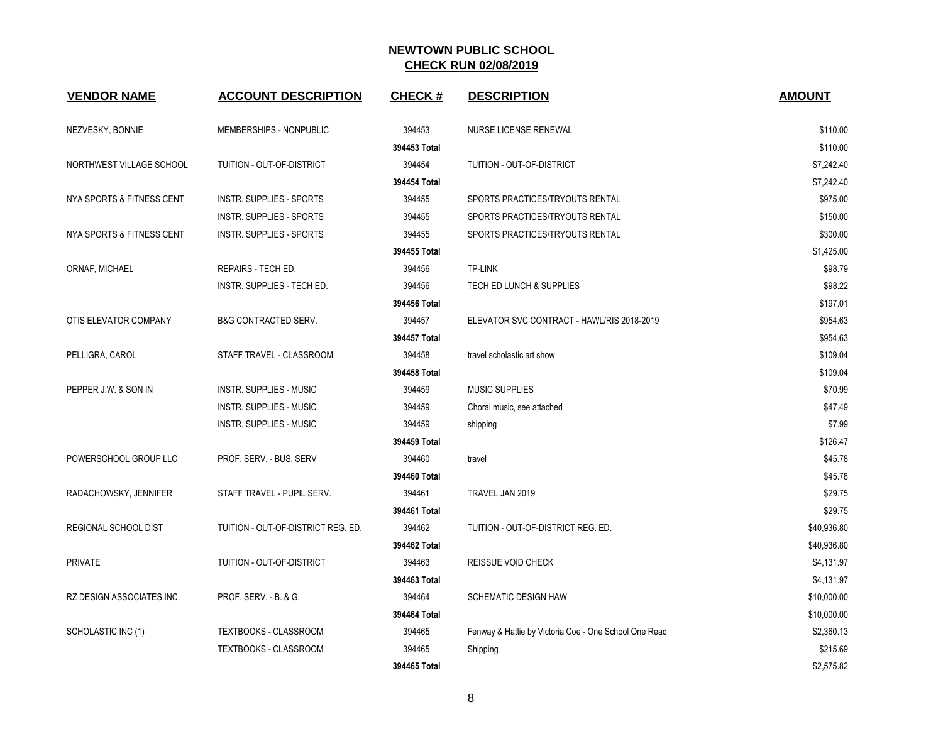| <b>VENDOR NAME</b>        | <b>ACCOUNT DESCRIPTION</b>         | <b>CHECK#</b> | <b>DESCRIPTION</b>                                    | <b>AMOUNT</b> |
|---------------------------|------------------------------------|---------------|-------------------------------------------------------|---------------|
| NEZVESKY, BONNIE          | MEMBERSHIPS - NONPUBLIC            | 394453        | <b>NURSE LICENSE RENEWAL</b>                          | \$110.00      |
|                           |                                    | 394453 Total  |                                                       | \$110.00      |
| NORTHWEST VILLAGE SCHOOL  | TUITION - OUT-OF-DISTRICT          | 394454        | TUITION - OUT-OF-DISTRICT                             | \$7,242.40    |
|                           |                                    | 394454 Total  |                                                       | \$7,242.40    |
| NYA SPORTS & FITNESS CENT | <b>INSTR. SUPPLIES - SPORTS</b>    | 394455        | SPORTS PRACTICES/TRYOUTS RENTAL                       | \$975.00      |
|                           | <b>INSTR. SUPPLIES - SPORTS</b>    | 394455        | SPORTS PRACTICES/TRYOUTS RENTAL                       | \$150.00      |
| NYA SPORTS & FITNESS CENT | <b>INSTR. SUPPLIES - SPORTS</b>    | 394455        | SPORTS PRACTICES/TRYOUTS RENTAL                       | \$300.00      |
|                           |                                    | 394455 Total  |                                                       | \$1,425.00    |
| ORNAF, MICHAEL            | REPAIRS - TECH ED.                 | 394456        | <b>TP-LINK</b>                                        | \$98.79       |
|                           | INSTR. SUPPLIES - TECH ED.         | 394456        | TECH ED LUNCH & SUPPLIES                              | \$98.22       |
|                           |                                    | 394456 Total  |                                                       | \$197.01      |
| OTIS ELEVATOR COMPANY     | <b>B&amp;G CONTRACTED SERV.</b>    | 394457        | ELEVATOR SVC CONTRACT - HAWL/RIS 2018-2019            | \$954.63      |
|                           |                                    | 394457 Total  |                                                       | \$954.63      |
| PELLIGRA, CAROL           | STAFF TRAVEL - CLASSROOM           | 394458        | travel scholastic art show                            | \$109.04      |
|                           |                                    | 394458 Total  |                                                       | \$109.04      |
| PEPPER J.W. & SON IN      | <b>INSTR. SUPPLIES - MUSIC</b>     | 394459        | <b>MUSIC SUPPLIES</b>                                 | \$70.99       |
|                           | <b>INSTR. SUPPLIES - MUSIC</b>     | 394459        | Choral music, see attached                            | \$47.49       |
|                           | <b>INSTR. SUPPLIES - MUSIC</b>     | 394459        | shipping                                              | \$7.99        |
|                           |                                    | 394459 Total  |                                                       | \$126.47      |
| POWERSCHOOL GROUP LLC     | PROF. SERV. - BUS. SERV            | 394460        | travel                                                | \$45.78       |
|                           |                                    | 394460 Total  |                                                       | \$45.78       |
| RADACHOWSKY, JENNIFER     | STAFF TRAVEL - PUPIL SERV.         | 394461        | TRAVEL JAN 2019                                       | \$29.75       |
|                           |                                    | 394461 Total  |                                                       | \$29.75       |
| REGIONAL SCHOOL DIST      | TUITION - OUT-OF-DISTRICT REG. ED. | 394462        | TUITION - OUT-OF-DISTRICT REG. ED.                    | \$40,936.80   |
|                           |                                    | 394462 Total  |                                                       | \$40,936.80   |
| <b>PRIVATE</b>            | TUITION - OUT-OF-DISTRICT          | 394463        | REISSUE VOID CHECK                                    | \$4,131.97    |
|                           |                                    | 394463 Total  |                                                       | \$4,131.97    |
| RZ DESIGN ASSOCIATES INC. | PROF. SERV. - B. & G.              | 394464        | <b>SCHEMATIC DESIGN HAW</b>                           | \$10,000.00   |
|                           |                                    | 394464 Total  |                                                       | \$10,000.00   |
| SCHOLASTIC INC (1)        | <b>TEXTBOOKS - CLASSROOM</b>       | 394465        | Fenway & Hattie by Victoria Coe - One School One Read | \$2,360.13    |
|                           | TEXTBOOKS - CLASSROOM              | 394465        | Shipping                                              | \$215.69      |
|                           |                                    | 394465 Total  |                                                       | \$2,575.82    |